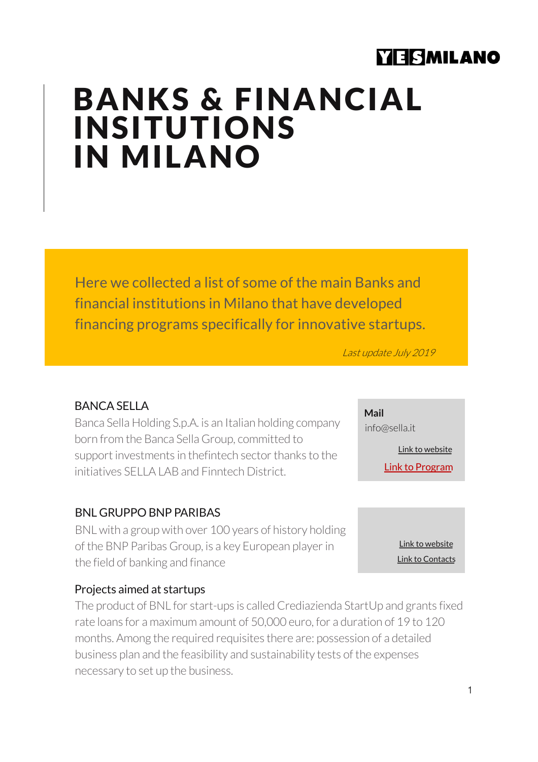# YESMILANO

# BANKS & FINANCIAL INSITUTIONS IN MILANO

Here we collected a list of some of the main Banks and financial institutions in Milano that have developed financing programs specifically for innovative startups.

Last update July 2019

#### BANCA SELLA

Banca Sella Holding S.p.A. is an Italian holding company born from the Banca Sella Group, committed to support investments in thefintech sector thanks to the initiatives SELLA LAB and Finntech District.

#### BNL GRUPPO BNP PARIBAS

BNL with a group with over 100 years of history holding of the BNP Paribas Group, is a key European player in the field of banking and finance

### Projects aimed at startups

The product of BNL for start-ups is called Crediazienda StartUp and grants fixed rate loans for a maximum amount of 50,000 euro, for a duration of 19 to 120 months. Among the required requisites there are: possession of a detailed business plan and the feasibility and sustainability tests of the expenses necessary to set up the business.

**Mail**  info@sella.it

[Link to web](https://www.sella.it/banca-online/privati/index.jsp)site

[Link to Progr](https://www.fintechdistrict.com/program/)am

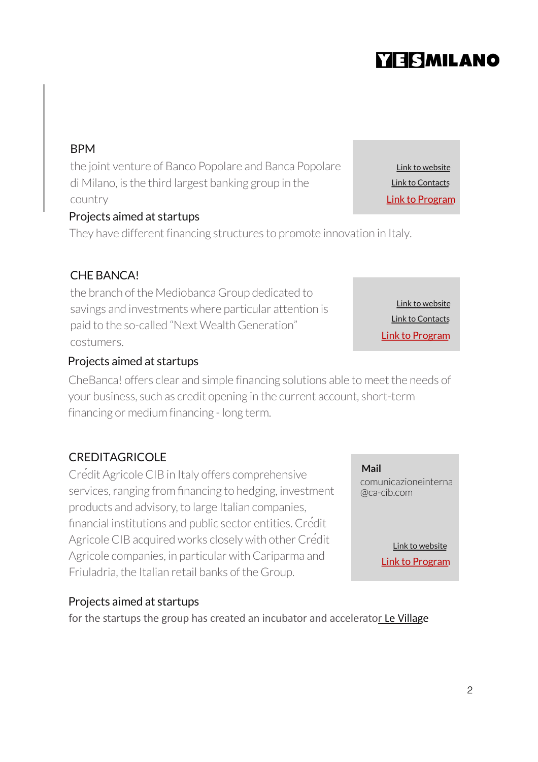# **YESMILANO**

[Link to web](http://www.bancobpmspa.com/banca-popolare-di-milano/)site

[Link to Cont](http://www.bancobpmspa.com/scrivici/)acts [Link to Progr](http://www.bancobpmspa.com/categoria/finanza-agevolata-imprese/)am

# BPM

the joint venture of Banco Popolare and Banca Popolare di Milano, is the third largest banking group in the country

## Projects aimed at startups

They have different financing structures to promote innovation in Italy.

# CHE BANCA!

the branch of the Mediobanca Group dedicated to savings and investments where particular attention is paid to the so-called "Next Wealth Generation" costumers.

## Projects aimed at startups

CheBanca! offers clear and simple financing solutions able to meet the needs of your business, such as credit opening in the current account, short-term financing or medium financing - long term.

# **CREDITAGRICOLE**

Crédit Agricole CIB in Italy offers comprehensive services, ranging from financing to hedging, investment products and advisory, to large Italian companies, financial institutions and public sector entities. Crédit Agricole CIB acquired works closely with other Crédit Agricole companies, in particular with Cariparma and Friuladria, the Italian retail banks of the Group.

# Projects aimed at startups

for the startups the group has created an incubator and accelerator [Le Villa](http://levillagebyca.it/it/)ge

[Link to web](https://www.chebanca.it/)site [Link to Cont](https://www.chebanca.it/wps/wcm/connect/istituzionale/header/contatti)acts [Link to Progr](https://www.chebanca.it/wps/wcm/connect/istituzionale/prodotti/business/conto-%20corrente-business/finanziamenti)am

comunicazioneinterna @ca-cib.com

**Mail** 

[Link to web](https://www.ca-cib.com/our-global-presence/europe/italy)site [Link to Progr](http://levillagebyca.it/it/)am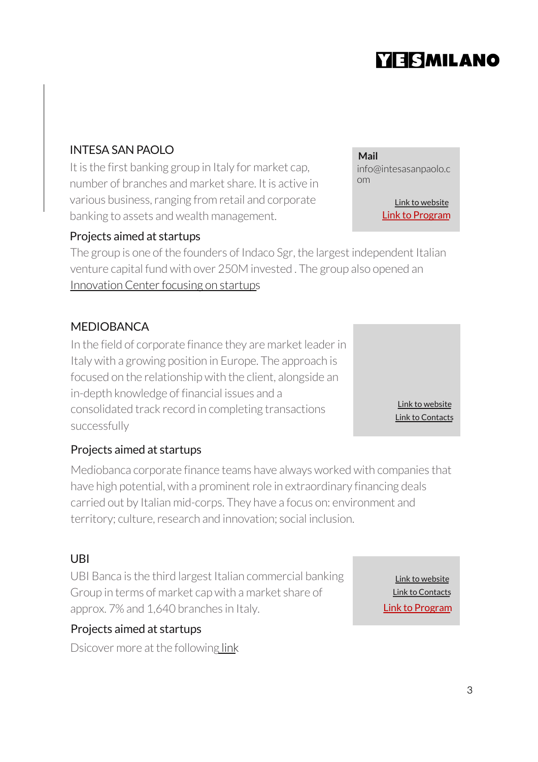# **YEISMILANO**

### INTESA SAN PAOLO

It is the first banking group in Italy for market cap, number of branches and market share. It is active in various business, ranging from retail and corporate banking to assets and wealth management.

#### Projects aimed at startups

The group is one of the founders of Indaco Sgr, the largest independent Italian venture capital fund with over 250M invested . The group also opened an [Innovation Center focusing on startu](https://www.intesasanpaolo.com/it/news/imprese-e-start-up.html)ps

#### MEDIOBANCA

In the field of corporate finance they are market leader in Italy with a growing position in Europe. The approach is focused on the relationship with the client, alongside an in-depth knowledge of financial issues and a consolidated track record in completing transactions successfully

Projects aimed at startups

Mediobanca corporate finance teams have always worked with companies that have high potential, with a prominent role in extraordinary financing deals carried out by Italian mid-corps. They have a focus on: environment and territory; culture, research and innovation; social inclusion.

#### UBI

UBI Banca is the third largest Italian commercial banking Group in terms of market cap with a market share of approx. 7% and 1,640 branches in Italy.

#### Projects aimed at startups

Dsicover more at the follo[wing l](https://www.ubibanca.com/ubi/FissaAppuntamento)ink

[Link to web](https://www.ubibanca.com/)site [Link to Progr](https://www.ubibanca.com/GIOVANI_Finanziamento_StartUp)am [Link to Conta](https://www.ubibanca.com/ubi/Scrivici)cts

info@intesasanpaolo.c om

**Mail** 

[Link to web](http://www.group.intesasanpaolo.com/scriptIsir0/si09/)site [Link to Progr](https://www.intesasanpaolo.com/it/business/prodotti/formazione-e%20consulenza-per-imprese-e-startup/startup-initiative.html)am

> [Link to web](https://www.mediobanca.com/en/index.html)site [Link to Conta](https://www.mediobanca.com/en/our-group/contacts.html)cts